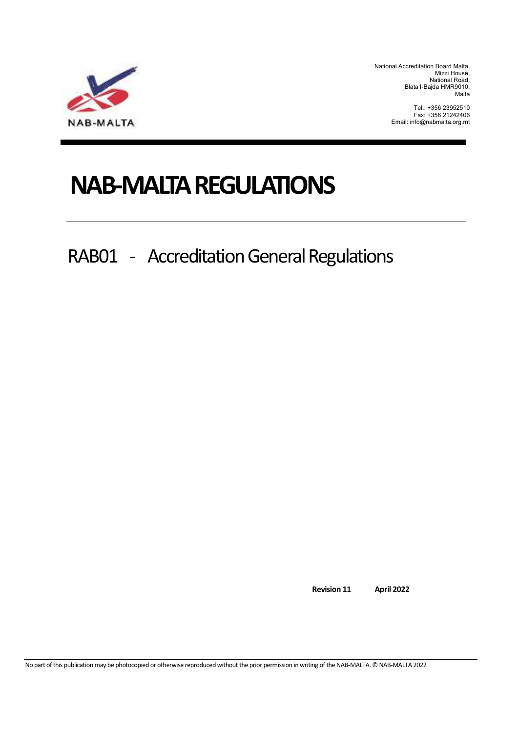

National Accreditation Board Malta, Mizzi House, National Road, Blata l-Bajda HMR9010, Malta

> Tel.: +356 23952510 Fax: +356 21242406 Email: info@nabmalta.org.mt

# **NAB-MALTA REGULATIONS**

RAB01 - Accreditation General Regulations

**Revision 11 April 2022** 

No part of this publication may be photocopied or otherwise reproduced without the prior permission in writing of the NAB-MALTA. © NAB-MALTA 2022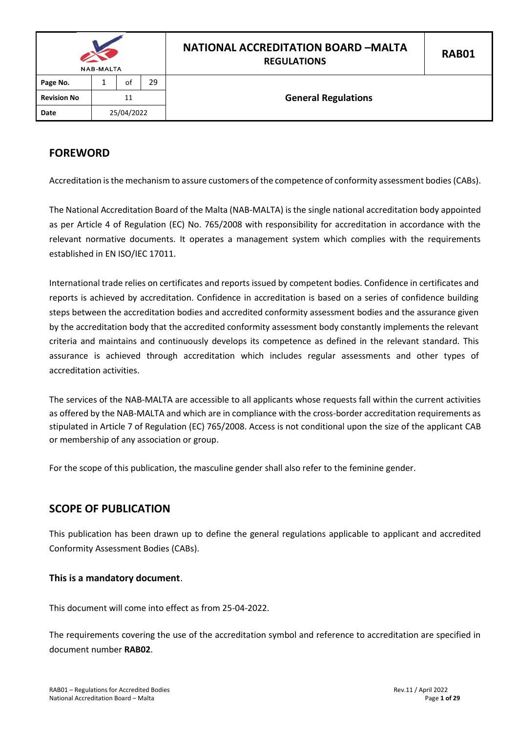| <b>NAB-MALTA</b>   |    |            |    | <b>NATIONAL ACCREDITATION BOARD -MALTA</b><br><b>REGULATIONS</b> | <b>RAB01</b> |  |  |  |
|--------------------|----|------------|----|------------------------------------------------------------------|--------------|--|--|--|
| Page No.           |    | of         | 29 |                                                                  |              |  |  |  |
| <b>Revision No</b> | 11 |            |    | <b>General Regulations</b>                                       |              |  |  |  |
| Date               |    | 25/04/2022 |    |                                                                  |              |  |  |  |

# <span id="page-1-0"></span>**FOREWORD**

Accreditation is the mechanism to assure customers of the competence of conformity assessment bodies(CABs).

The National Accreditation Board of the Malta (NAB-MALTA) is the single national accreditation body appointed as per Article 4 of Regulation (EC) No. 765/2008 with responsibility for accreditation in accordance with the relevant normative documents. It operates a management system which complies with the requirements established in EN ISO/IEC 17011.

International trade relies on certificates and reports issued by competent bodies. Confidence in certificates and reports is achieved by accreditation. Confidence in accreditation is based on a series of confidence building steps between the accreditation bodies and accredited conformity assessment bodies and the assurance given by the accreditation body that the accredited conformity assessment body constantly implements the relevant criteria and maintains and continuously develops its competence as defined in the relevant standard. This assurance is achieved through accreditation which includes regular assessments and other types of accreditation activities.

The services of the NAB-MALTA are accessible to all applicants whose requests fall within the current activities as offered by the NAB-MALTA and which are in compliance with the cross-border accreditation requirements as stipulated in Article 7 of Regulation (EC) 765/2008. Access is not conditional upon the size of the applicant CAB or membership of any association or group.

For the scope of this publication, the masculine gender shall also refer to the feminine gender.

## <span id="page-1-1"></span>**SCOPE OF PUBLICATION**

This publication has been drawn up to define the general regulations applicable to applicant and accredited Conformity Assessment Bodies (CABs).

#### **This is a mandatory document**.

This document will come into effect as from 25-04-2022.

The requirements covering the use of the accreditation symbol and reference to accreditation are specified in document number **RAB02**.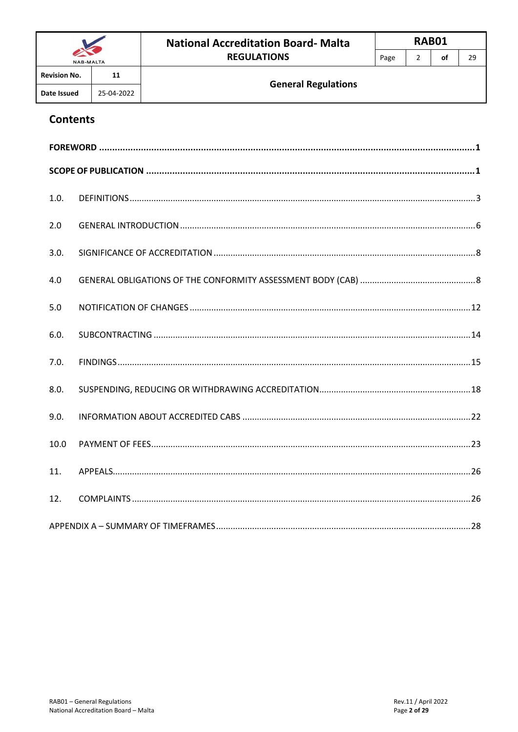| <b>NAB-MALTA</b>    |            | <b>National Accreditation Board-Malta</b> |      | RAB01 |    |    |
|---------------------|------------|-------------------------------------------|------|-------|----|----|
|                     |            | <b>REGULATIONS</b>                        | Page |       | οf | 29 |
| <b>Revision No.</b> | 11         |                                           |      |       |    |    |
| Date Issued         | 25-04-2022 | <b>General Regulations</b>                |      |       |    |    |

# **Contents**

| 1.0. |  |
|------|--|
| 2.0  |  |
| 3.0. |  |
| 4.0  |  |
| 5.0  |  |
| 6.0. |  |
| 7.0. |  |
| 8.0. |  |
| 9.0. |  |
| 10.0 |  |
| 11.  |  |
| 12.  |  |
|      |  |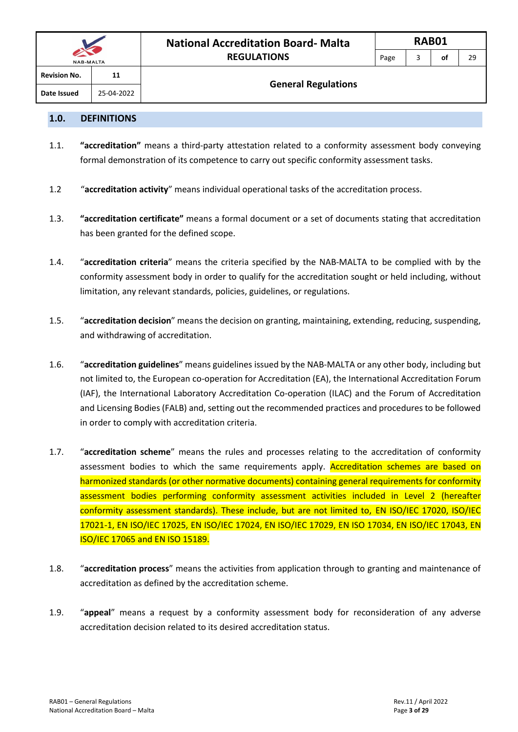#### <span id="page-3-0"></span>**1.0. DEFINITIONS**

- 1.1. **"accreditation"** means a third-party attestation related to a conformity assessment body conveying formal demonstration of its competence to carry out specific conformity assessment tasks.
- 1.2 "**accreditation activity**" means individual operational tasks of the accreditation process.
- 1.3. **"accreditation certificate"** means a formal document or a set of documents stating that accreditation has been granted for the defined scope.
- 1.4. "**accreditation criteria**" means the criteria specified by the NAB-MALTA to be complied with by the conformity assessment body in order to qualify for the accreditation sought or held including, without limitation, any relevant standards, policies, guidelines, or regulations.
- 1.5. "**accreditation decision**" means the decision on granting, maintaining, extending, reducing, suspending, and withdrawing of accreditation.
- 1.6. "**accreditation guidelines**" means guidelines issued by the NAB-MALTA or any other body, including but not limited to, the European co-operation for Accreditation (EA), the International Accreditation Forum (IAF), the International Laboratory Accreditation Co-operation (ILAC) and the Forum of Accreditation and Licensing Bodies (FALB) and, setting out the recommended practices and procedures to be followed in order to comply with accreditation criteria.
- 1.7. "**accreditation scheme**" means the rules and processes relating to the accreditation of conformity assessment bodies to which the same requirements apply. Accreditation schemes are based on harmonized standards (or other normative documents) containing general requirements for conformity assessment bodies performing conformity assessment activities included in Level 2 (hereafter conformity assessment standards). These include, but are not limited to, EN ISO/IEC 17020, ISO/IEC 17021-1, EN ISO/IEC 17025, EN ISO/IEC 17024, EN ISO/IEC 17029, EN ISO 17034, EN ISO/IEC 17043, EN ISO/IEC 17065 and EN ISO 15189.
- 1.8. "**accreditation process**" means the activities from application through to granting and maintenance of accreditation as defined by the accreditation scheme.
- 1.9. "**appeal**" means a request by a conformity assessment body for reconsideration of any adverse accreditation decision related to its desired accreditation status.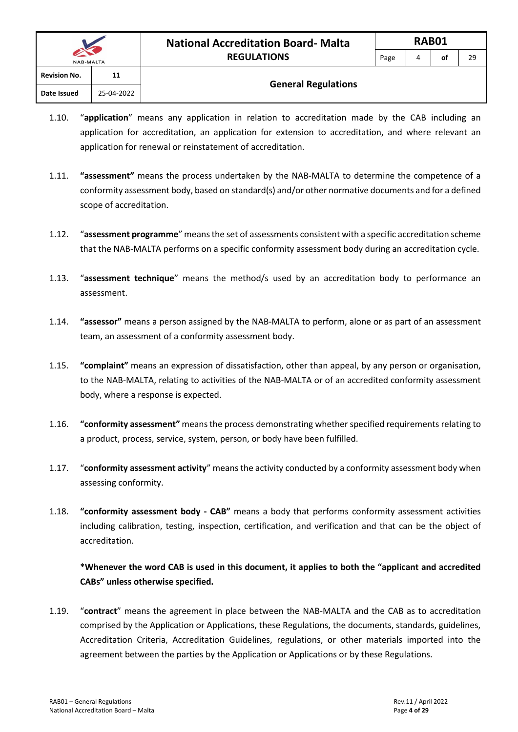| $\sim$<br><b>NAB-MALTA</b> |            | <b>REGULATIONS</b> | Page                       | 4 | οt | 29 |  |  |
|----------------------------|------------|--------------------|----------------------------|---|----|----|--|--|
| <b>Revision No.</b>        | 11         |                    |                            |   |    |    |  |  |
| Date Issued                | 25-04-2022 |                    | <b>General Regulations</b> |   |    |    |  |  |

- 1.10. "**application**" means any application in relation to accreditation made by the CAB including an application for accreditation, an application for extension to accreditation, and where relevant an application for renewal or reinstatement of accreditation.
- 1.11. **"assessment"** means the process undertaken by the NAB-MALTA to determine the competence of a conformity assessment body, based on standard(s) and/or other normative documents and for a defined scope of accreditation.
- 1.12. "**assessment programme**" means the set of assessments consistent with a specific accreditation scheme that the NAB-MALTA performs on a specific conformity assessment body during an accreditation cycle.
- 1.13. "**assessment technique**" means the method/s used by an accreditation body to performance an assessment.
- 1.14. **"assessor"** means a person assigned by the NAB-MALTA to perform, alone or as part of an assessment team, an assessment of a conformity assessment body.
- 1.15. **"complaint"** means an expression of dissatisfaction, other than appeal, by any person or organisation, to the NAB-MALTA, relating to activities of the NAB-MALTA or of an accredited conformity assessment body, where a response is expected.
- 1.16. **"conformity assessment"** means the process demonstrating whether specified requirements relating to a product, process, service, system, person, or body have been fulfilled.
- 1.17. "**conformity assessment activity**" means the activity conducted by a conformity assessment body when assessing conformity.
- 1.18. **"conformity assessment body - CAB"** means a body that performs conformity assessment activities including calibration, testing, inspection, certification, and verification and that can be the object of accreditation.

### **\*Whenever the word CAB is used in this document, it applies to both the "applicant and accredited CABs" unless otherwise specified.**

1.19. "**contract**" means the agreement in place between the NAB-MALTA and the CAB as to accreditation comprised by the Application or Applications, these Regulations, the documents, standards, guidelines, Accreditation Criteria, Accreditation Guidelines, regulations, or other materials imported into the agreement between the parties by the Application or Applications or by these Regulations.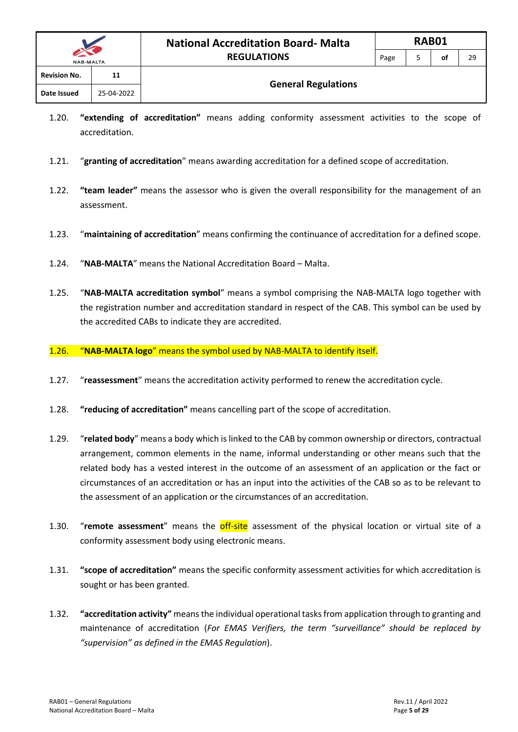| <b>NAB-MALTA</b>    |            | .                          | г аgс | ັ | יש |
|---------------------|------------|----------------------------|-------|---|----|
| <b>Revision No.</b> | 11         |                            |       |   |    |
| Date Issued         | 25-04-2022 | <b>General Regulations</b> |       |   |    |

- 1.20. **"extending of accreditation"** means adding conformity assessment activities to the scope of accreditation.
- 1.21. "**granting of accreditation**" means awarding accreditation for a defined scope of accreditation.
- 1.22. **"team leader"** means the assessor who is given the overall responsibility for the management of an assessment.
- 1.23. "**maintaining of accreditation**" means confirming the continuance of accreditation for a defined scope.
- 1.24. "**NAB-MALTA**" means the National Accreditation Board Malta.
- 1.25. "**NAB-MALTA accreditation symbol**" means a symbol comprising the NAB-MALTA logo together with the registration number and accreditation standard in respect of the CAB. This symbol can be used by the accredited CABs to indicate they are accredited.
- 1.26. "**NAB-MALTA logo**" means the symbol used by NAB-MALTA to identify itself.
- 1.27. "**reassessment**" means the accreditation activity performed to renew the accreditation cycle.
- 1.28. **"reducing of accreditation"** means cancelling part of the scope of accreditation.
- 1.29. "**related body**" means a body which is linked to the CAB by common ownership or directors, contractual arrangement, common elements in the name, informal understanding or other means such that the related body has a vested interest in the outcome of an assessment of an application or the fact or circumstances of an accreditation or has an input into the activities of the CAB so as to be relevant to the assessment of an application or the circumstances of an accreditation.
- 1.30. "**remote assessment**" means the off-site assessment of the physical location or virtual site of a conformity assessment body using electronic means.
- 1.31. **"scope of accreditation"** means the specific conformity assessment activities for which accreditation is sought or has been granted.
- 1.32. **"accreditation activity"** means the individual operational tasks from application through to granting and maintenance of accreditation (*For EMAS Verifiers, the term "surveillance" should be replaced by "supervision" as defined in the EMAS Regulation*).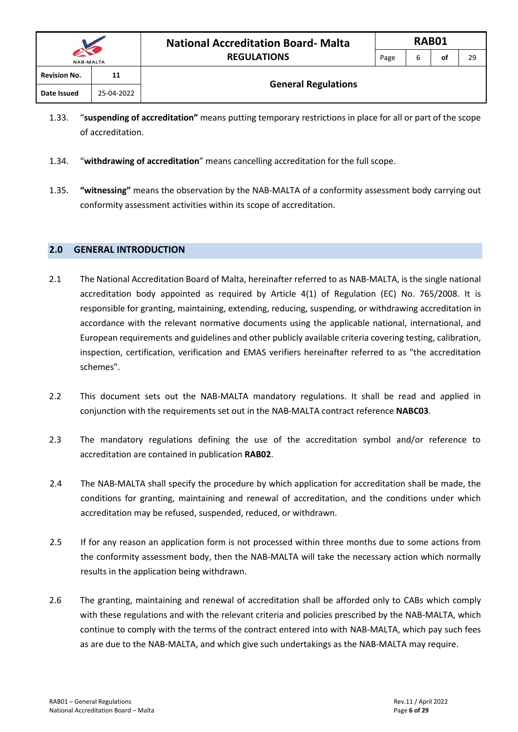| <b>NAB-MALTA</b>    |            | <b>REGULATIONS</b>         | Page | n | оf | 29 |
|---------------------|------------|----------------------------|------|---|----|----|
| <b>Revision No.</b> | 11         |                            |      |   |    |    |
| Date Issued         | 25-04-2022 | <b>General Regulations</b> |      |   |    |    |

- 1.33. "**suspending of accreditation"** means putting temporary restrictions in place for all or part of the scope of accreditation.
- 1.34. "**withdrawing of accreditation**" means cancelling accreditation for the full scope.
- 1.35. **"witnessing"** means the observation by the NAB-MALTA of a conformity assessment body carrying out conformity assessment activities within its scope of accreditation.

#### <span id="page-6-0"></span>**2.0 GENERAL INTRODUCTION**

- 2.1 The National Accreditation Board of Malta, hereinafter referred to as NAB-MALTA, is the single national accreditation body appointed as required by Article 4(1) of Regulation (EC) No. 765/2008. It is responsible for granting, maintaining, extending, reducing, suspending, or withdrawing accreditation in accordance with the relevant normative documents using the applicable national, international, and European requirements and guidelines and other publicly available criteria covering testing, calibration, inspection, certification, verification and EMAS verifiers hereinafter referred to as "the accreditation schemes".
- 2.2 This document sets out the NAB-MALTA mandatory regulations. It shall be read and applied in conjunction with the requirements set out in the NAB-MALTA contract reference **NABC03**.
- 2.3 The mandatory regulations defining the use of the accreditation symbol and/or reference to accreditation are contained in publication **RAB02**.
- 2.4 The NAB-MALTA shall specify the procedure by which application for accreditation shall be made, the conditions for granting, maintaining and renewal of accreditation, and the conditions under which accreditation may be refused, suspended, reduced, or withdrawn.
- 2.5 If for any reason an application form is not processed within three months due to some actions from the conformity assessment body, then the NAB-MALTA will take the necessary action which normally results in the application being withdrawn.
- 2.6 The granting, maintaining and renewal of accreditation shall be afforded only to CABs which comply with these regulations and with the relevant criteria and policies prescribed by the NAB-MALTA, which continue to comply with the terms of the contract entered into with NAB-MALTA, which pay such fees as are due to the NAB-MALTA, and which give such undertakings as the NAB-MALTA may require.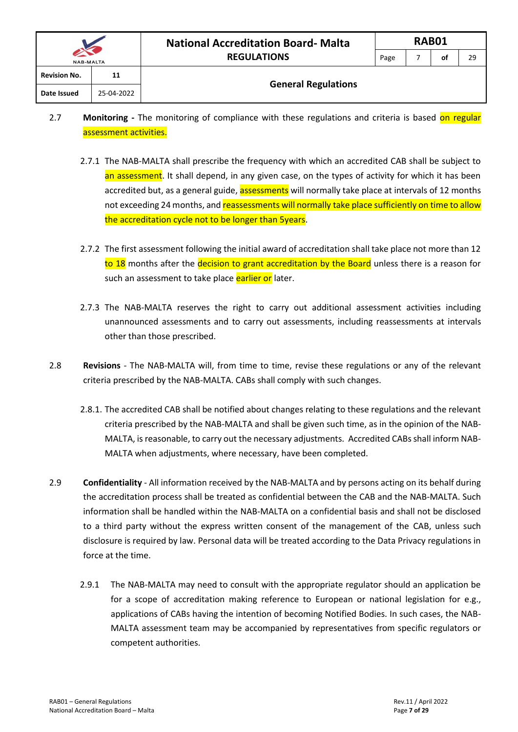| <b>Revision No.</b> | 11         | <b>General Regulations</b> |  |  |
|---------------------|------------|----------------------------|--|--|
| Date Issued         | 25-04-2022 |                            |  |  |
|                     |            |                            |  |  |

- 2.7 **Monitoring** The monitoring of compliance with these regulations and criteria is based on regular assessment activities.
	- 2.7.1 The NAB-MALTA shall prescribe the frequency with which an accredited CAB shall be subject to an assessment. It shall depend, in any given case, on the types of activity for which it has been accredited but, as a general guide, assessments will normally take place at intervals of 12 months not exceeding 24 months, and reassessments will normally take place sufficiently on time to allow the accreditation cycle not to be longer than 5years.
	- 2.7.2 The first assessment following the initial award of accreditation shall take place not more than 12 to 18 months after the decision to grant accreditation by the Board unless there is a reason for such an assessment to take place earlier or later.
	- 2.7.3 The NAB-MALTA reserves the right to carry out additional assessment activities including unannounced assessments and to carry out assessments, including reassessments at intervals other than those prescribed.
- 2.8 **Revisions**  The NAB-MALTA will, from time to time, revise these regulations or any of the relevant criteria prescribed by the NAB-MALTA. CABs shall comply with such changes.
	- 2.8.1. The accredited CAB shall be notified about changes relating to these regulations and the relevant criteria prescribed by the NAB-MALTA and shall be given such time, as in the opinion of the NAB-MALTA, is reasonable, to carry out the necessary adjustments. Accredited CABs shall inform NAB-MALTA when adjustments, where necessary, have been completed.
- 2.9 **Confidentiality** All information received by the NAB-MALTA and by persons acting on its behalf during the accreditation process shall be treated as confidential between the CAB and the NAB-MALTA. Such information shall be handled within the NAB-MALTA on a confidential basis and shall not be disclosed to a third party without the express written consent of the management of the CAB, unless such disclosure is required by law. Personal data will be treated according to the Data Privacy regulations in force at the time.
	- 2.9.1 The NAB-MALTA may need to consult with the appropriate regulator should an application be for a scope of accreditation making reference to European or national legislation for e.g., applications of CABs having the intention of becoming Notified Bodies. In such cases, the NAB-MALTA assessment team may be accompanied by representatives from specific regulators or competent authorities.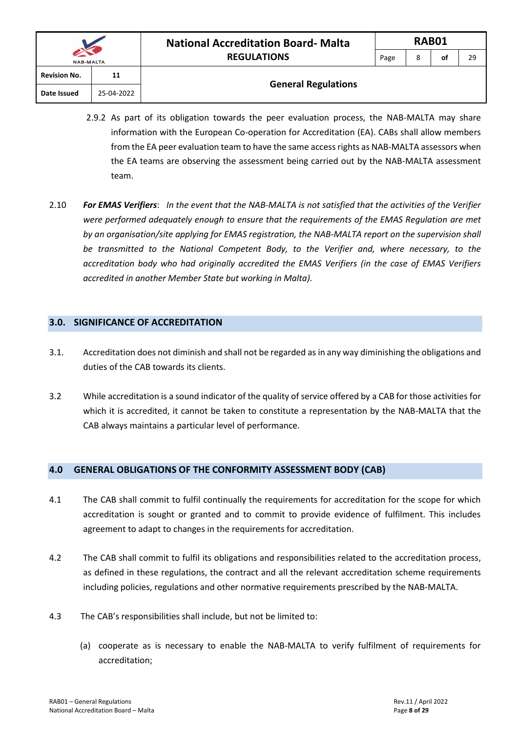| <b>NAB-MALTA</b>    |            |  |  |  |
|---------------------|------------|--|--|--|
| <b>Revision No.</b> | 11         |  |  |  |
| Date Issued         | 25-04-2022 |  |  |  |

#### **General Regulations**

- 2.9.2 As part of its obligation towards the peer evaluation process, the NAB-MALTA may share information with the European Co-operation for Accreditation (EA). CABs shall allow members from the EA peer evaluation team to have the same access rights as NAB-MALTA assessors when the EA teams are observing the assessment being carried out by the NAB-MALTA assessment team.
- 2.10 *For EMAS Verifiers*: *In the event that the NAB-MALTA is not satisfied that the activities of the Verifier were performed adequately enough to ensure that the requirements of the EMAS Regulation are met by an organisation/site applying for EMAS registration, the NAB-MALTA report on the supervision shall be transmitted to the National Competent Body, to the Verifier and, where necessary, to the accreditation body who had originally accredited the EMAS Verifiers (in the case of EMAS Verifiers accredited in another Member State but working in Malta).*

#### <span id="page-8-0"></span>**3.0. SIGNIFICANCE OF ACCREDITATION**

- 3.1. Accreditation does not diminish and shall not be regarded as in any way diminishing the obligations and duties of the CAB towards its clients.
- 3.2 While accreditation is a sound indicator of the quality of service offered by a CAB for those activities for which it is accredited, it cannot be taken to constitute a representation by the NAB-MALTA that the CAB always maintains a particular level of performance.

#### <span id="page-8-1"></span>**4.0 GENERAL OBLIGATIONS OF THE CONFORMITY ASSESSMENT BODY (CAB)**

- 4.1 The CAB shall commit to fulfil continually the requirements for accreditation for the scope for which accreditation is sought or granted and to commit to provide evidence of fulfilment. This includes agreement to adapt to changes in the requirements for accreditation.
- 4.2 The CAB shall commit to fulfil its obligations and responsibilities related to the accreditation process, as defined in these regulations, the contract and all the relevant accreditation scheme requirements including policies, regulations and other normative requirements prescribed by the NAB-MALTA.
- 4.3 The CAB's responsibilities shall include, but not be limited to:
	- (a) cooperate as is necessary to enable the NAB-MALTA to verify fulfilment of requirements for accreditation;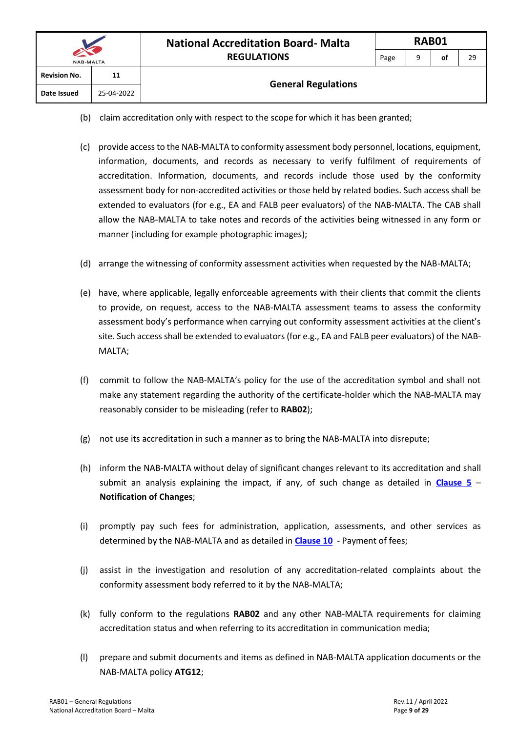- (b) claim accreditation only with respect to the scope for which it has been granted;
- (c) provide accessto the NAB-MALTA to conformity assessment body personnel, locations, equipment, information, documents, and records as necessary to verify fulfilment of requirements of accreditation. Information, documents, and records include those used by the conformity assessment body for non-accredited activities or those held by related bodies. Such access shall be extended to evaluators (for e.g., EA and FALB peer evaluators) of the NAB-MALTA. The CAB shall allow the NAB-MALTA to take notes and records of the activities being witnessed in any form or manner (including for example photographic images);
- (d) arrange the witnessing of conformity assessment activities when requested by the NAB-MALTA;
- (e) have, where applicable, legally enforceable agreements with their clients that commit the clients to provide, on request, access to the NAB-MALTA assessment teams to assess the conformity assessment body's performance when carrying out conformity assessment activities at the client's site. Such access shall be extended to evaluators (for e.g., EA and FALB peer evaluators) of the NAB-MALTA;
- (f) commit to follow the NAB-MALTA's policy for the use of the accreditation symbol and shall not make any statement regarding the authority of the certificate-holder which the NAB-MALTA may reasonably consider to be misleading (refer to **RAB02**);
- (g) not use its accreditation in such a manner as to bring the NAB-MALTA into disrepute;
- (h) inform the NAB-MALTA without delay of significant changes relevant to its accreditation and shall submit an analysis explaining the impact, if any, of such change as detailed in **[Clause 5](#page-12-0)** – **Notification of Changes**;
- (i) promptly pay such fees for administration, application, assessments, and other services as determined by the NAB-MALTA and as detailed in **[Clause 10](#page-23-0)** - Payment of fees;
- (j) assist in the investigation and resolution of any accreditation-related complaints about the conformity assessment body referred to it by the NAB-MALTA;
- (k) fully conform to the regulations **RAB02** and any other NAB-MALTA requirements for claiming accreditation status and when referring to its accreditation in communication media;
- (l) prepare and submit documents and items as defined in NAB-MALTA application documents or the NAB-MALTA policy **ATG12**;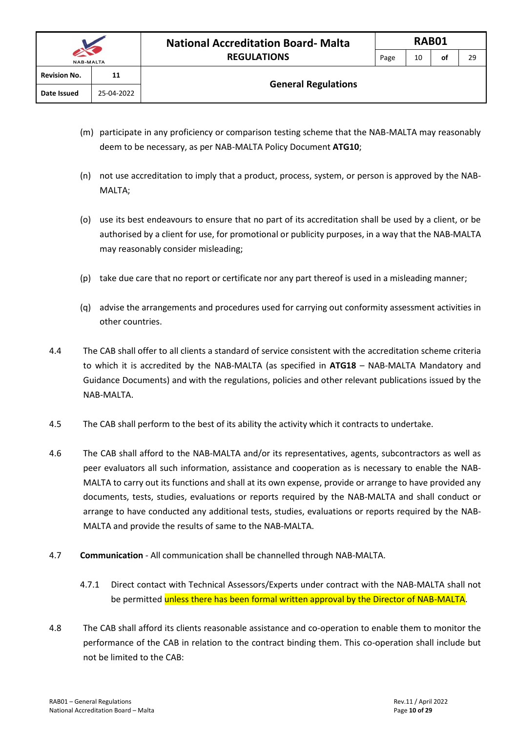- (m) participate in any proficiency or comparison testing scheme that the NAB-MALTA may reasonably deem to be necessary, as per NAB-MALTA Policy Document **ATG10**;
- (n) not use accreditation to imply that a product, process, system, or person is approved by the NAB-MALTA;
- (o) use its best endeavours to ensure that no part of its accreditation shall be used by a client, or be authorised by a client for use, for promotional or publicity purposes, in a way that the NAB-MALTA may reasonably consider misleading;
- (p) take due care that no report or certificate nor any part thereof is used in a misleading manner;
- (q) advise the arrangements and procedures used for carrying out conformity assessment activities in other countries.
- 4.4 The CAB shall offer to all clients a standard of service consistent with the accreditation scheme criteria to which it is accredited by the NAB-MALTA (as specified in **ATG18** – NAB-MALTA Mandatory and Guidance Documents) and with the regulations, policies and other relevant publications issued by the NAB-MALTA.
- 4.5 The CAB shall perform to the best of its ability the activity which it contracts to undertake.
- 4.6 The CAB shall afford to the NAB-MALTA and/or its representatives, agents, subcontractors as well as peer evaluators all such information, assistance and cooperation as is necessary to enable the NAB-MALTA to carry out its functions and shall at its own expense, provide or arrange to have provided any documents, tests, studies, evaluations or reports required by the NAB-MALTA and shall conduct or arrange to have conducted any additional tests, studies, evaluations or reports required by the NAB-MALTA and provide the results of same to the NAB-MALTA.
- 4.7 **Communication** All communication shall be channelled through NAB-MALTA.
	- 4.7.1 Direct contact with Technical Assessors/Experts under contract with the NAB-MALTA shall not be permitted unless there has been formal written approval by the Director of NAB-MALTA.
- 4.8 The CAB shall afford its clients reasonable assistance and co-operation to enable them to monitor the performance of the CAB in relation to the contract binding them. This co-operation shall include but not be limited to the CAB: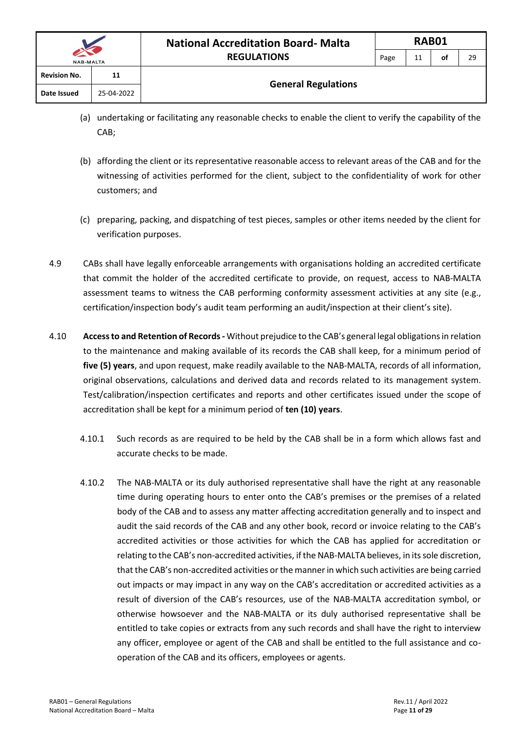- (a) undertaking or facilitating any reasonable checks to enable the client to verify the capability of the CAB;
- (b) affording the client or its representative reasonable access to relevant areas of the CAB and for the witnessing of activities performed for the client, subject to the confidentiality of work for other customers; and
- (c) preparing, packing, and dispatching of test pieces, samples or other items needed by the client for verification purposes.
- 4.9 CABs shall have legally enforceable arrangements with organisations holding an accredited certificate that commit the holder of the accredited certificate to provide, on request, access to NAB-MALTA assessment teams to witness the CAB performing conformity assessment activities at any site (e.g., certification/inspection body's audit team performing an audit/inspection at their client's site).
- 4.10 **Access to and Retention of Records -** Without prejudice to the CAB's general legal obligations in relation to the maintenance and making available of its records the CAB shall keep, for a minimum period of **five (5) years**, and upon request, make readily available to the NAB-MALTA, records of all information, original observations, calculations and derived data and records related to its management system. Test/calibration/inspection certificates and reports and other certificates issued under the scope of accreditation shall be kept for a minimum period of **ten (10) years**.
	- 4.10.1 Such records as are required to be held by the CAB shall be in a form which allows fast and accurate checks to be made.
	- 4.10.2 The NAB-MALTA or its duly authorised representative shall have the right at any reasonable time during operating hours to enter onto the CAB's premises or the premises of a related body of the CAB and to assess any matter affecting accreditation generally and to inspect and audit the said records of the CAB and any other book, record or invoice relating to the CAB's accredited activities or those activities for which the CAB has applied for accreditation or relating to the CAB's non-accredited activities, if the NAB-MALTA believes, in its sole discretion, that the CAB's non-accredited activities or the manner in which such activities are being carried out impacts or may impact in any way on the CAB's accreditation or accredited activities as a result of diversion of the CAB's resources, use of the NAB-MALTA accreditation symbol, or otherwise howsoever and the NAB-MALTA or its duly authorised representative shall be entitled to take copies or extracts from any such records and shall have the right to interview any officer, employee or agent of the CAB and shall be entitled to the full assistance and cooperation of the CAB and its officers, employees or agents.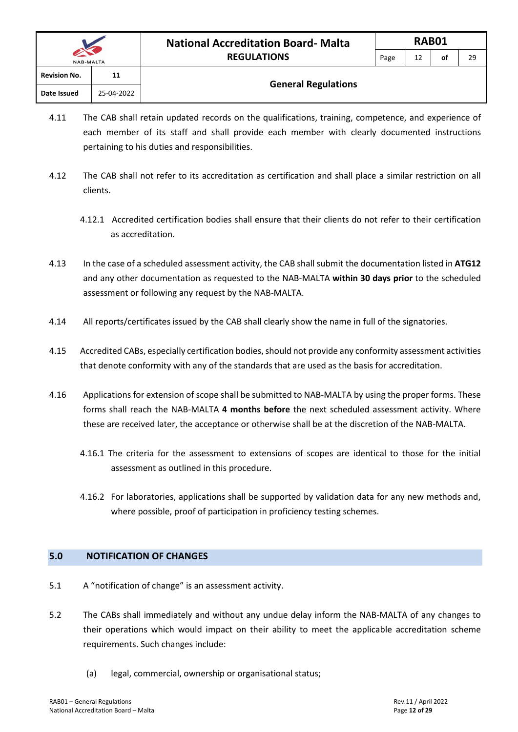| <b>NAB-MALTA</b>    |            | <b>REGULATIONS</b>         | Page | 12 | οt | 29 |
|---------------------|------------|----------------------------|------|----|----|----|
| <b>Revision No.</b> | 11         |                            |      |    |    |    |
| Date Issued         | 25-04-2022 | <b>General Regulations</b> |      |    |    |    |

- 4.11 The CAB shall retain updated records on the qualifications, training, competence, and experience of each member of its staff and shall provide each member with clearly documented instructions pertaining to his duties and responsibilities.
- 4.12 The CAB shall not refer to its accreditation as certification and shall place a similar restriction on all clients.
	- 4.12.1 Accredited certification bodies shall ensure that their clients do not refer to their certification as accreditation.
- 4.13 In the case of a scheduled assessment activity, the CAB shall submit the documentation listed in **ATG12** and any other documentation as requested to the NAB-MALTA **within 30 days prior** to the scheduled assessment or following any request by the NAB-MALTA.
- 4.14 All reports/certificates issued by the CAB shall clearly show the name in full of the signatories.
- 4.15 Accredited CABs, especially certification bodies, should not provide any conformity assessment activities that denote conformity with any of the standards that are used as the basis for accreditation.
- 4.16 Applications for extension of scope shall be submitted to NAB-MALTA by using the proper forms. These forms shall reach the NAB-MALTA **4 months before** the next scheduled assessment activity. Where these are received later, the acceptance or otherwise shall be at the discretion of the NAB-MALTA.
	- 4.16.1 The criteria for the assessment to extensions of scopes are identical to those for the initial assessment as outlined in this procedure.
	- 4.16.2 For laboratories, applications shall be supported by validation data for any new methods and, where possible, proof of participation in proficiency testing schemes.

#### <span id="page-12-0"></span>**5.0 NOTIFICATION OF CHANGES**

- 5.1 A "notification of change" is an assessment activity.
- 5.2 The CABs shall immediately and without any undue delay inform the NAB-MALTA of any changes to their operations which would impact on their ability to meet the applicable accreditation scheme requirements. Such changes include:
	- (a) legal, commercial, ownership or organisational status;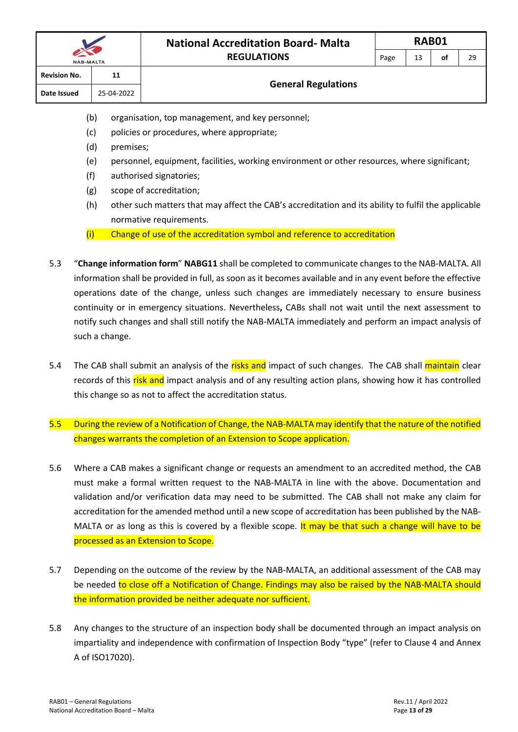- (b) organisation, top management, and key personnel;
- (c) policies or procedures, where appropriate;
- (d) premises;
- (e) personnel, equipment, facilities, working environment or other resources, where significant;
- (f) authorised signatories;
- (g) scope of accreditation;
- (h) other such matters that may affect the CAB's accreditation and its ability to fulfil the applicable normative requirements.
- (i) Change of use of the accreditation symbol and reference to accreditation
- 5.3 "**Change information form**" **NABG11** shall be completed to communicate changes to the NAB-MALTA. All information shall be provided in full, as soon as it becomes available and in any event before the effective operations date of the change, unless such changes are immediately necessary to ensure business continuity or in emergency situations. Nevertheless**,** CABs shall not wait until the next assessment to notify such changes and shall still notify the NAB-MALTA immediately and perform an impact analysis of such a change.
- 5.4 The CAB shall submit an analysis of the risks and impact of such changes. The CAB shall maintain clear records of this risk and impact analysis and of any resulting action plans, showing how it has controlled this change so as not to affect the accreditation status.
- 5.5 During the review of a Notification of Change, the NAB-MALTA may identify that the nature of the notified changes warrants the completion of an Extension to Scope application.
- 5.6 Where a CAB makes a significant change or requests an amendment to an accredited method, the CAB must make a formal written request to the NAB-MALTA in line with the above. Documentation and validation and/or verification data may need to be submitted. The CAB shall not make any claim for accreditation for the amended method until a new scope of accreditation has been published by the NAB-MALTA or as long as this is covered by a flexible scope. It may be that such a change will have to be processed as an Extension to Scope.
- 5.7 Depending on the outcome of the review by the NAB-MALTA, an additional assessment of the CAB may be needed to close off a Notification of Change. Findings may also be raised by the NAB-MALTA should the information provided be neither adequate nor sufficient.
- 5.8 Any changes to the structure of an inspection body shall be documented through an impact analysis on impartiality and independence with confirmation of Inspection Body "type" (refer to Clause 4 and Annex A of ISO17020).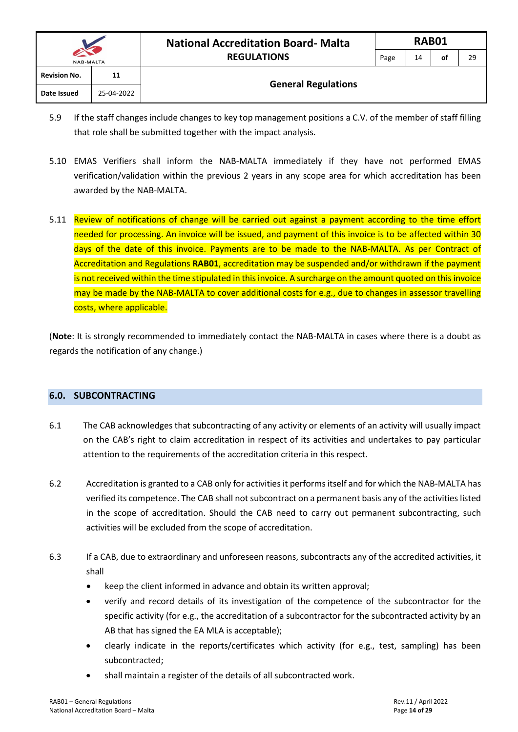- 5.9 If the staff changes include changes to key top management positions a C.V. of the member of staff filling that role shall be submitted together with the impact analysis.
- 5.10 EMAS Verifiers shall inform the NAB-MALTA immediately if they have not performed EMAS verification/validation within the previous 2 years in any scope area for which accreditation has been awarded by the NAB-MALTA.
- 5.11 Review of notifications of change will be carried out against a payment according to the time effort needed for processing. An invoice will be issued, and payment of this invoice is to be affected within 30 days of the date of this invoice. Payments are to be made to the NAB-MALTA. As per Contract of Accreditation and Regulations **RAB01**, accreditation may be suspended and/or withdrawn if the payment is not received within the time stipulated in this invoice. A surcharge on the amount quoted on this invoice may be made by the NAB-MALTA to cover additional costs for e.g., due to changes in assessor travelling costs, where applicable.

(**Note**: It is strongly recommended to immediately contact the NAB-MALTA in cases where there is a doubt as regards the notification of any change.)

#### <span id="page-14-0"></span>**6.0. SUBCONTRACTING**

- 6.1 The CAB acknowledges that subcontracting of any activity or elements of an activity will usually impact on the CAB's right to claim accreditation in respect of its activities and undertakes to pay particular attention to the requirements of the accreditation criteria in this respect.
- 6.2 Accreditation is granted to a CAB only for activities it performs itself and for which the NAB-MALTA has verified its competence. The CAB shall not subcontract on a permanent basis any of the activities listed in the scope of accreditation. Should the CAB need to carry out permanent subcontracting, such activities will be excluded from the scope of accreditation.
- 6.3 If a CAB, due to extraordinary and unforeseen reasons, subcontracts any of the accredited activities, it shall
	- keep the client informed in advance and obtain its written approval;
	- verify and record details of its investigation of the competence of the subcontractor for the specific activity (for e.g., the accreditation of a subcontractor for the subcontracted activity by an AB that has signed the EA MLA is acceptable);
	- clearly indicate in the reports/certificates which activity (for e.g., test, sampling) has been subcontracted;
	- shall maintain a register of the details of all subcontracted work.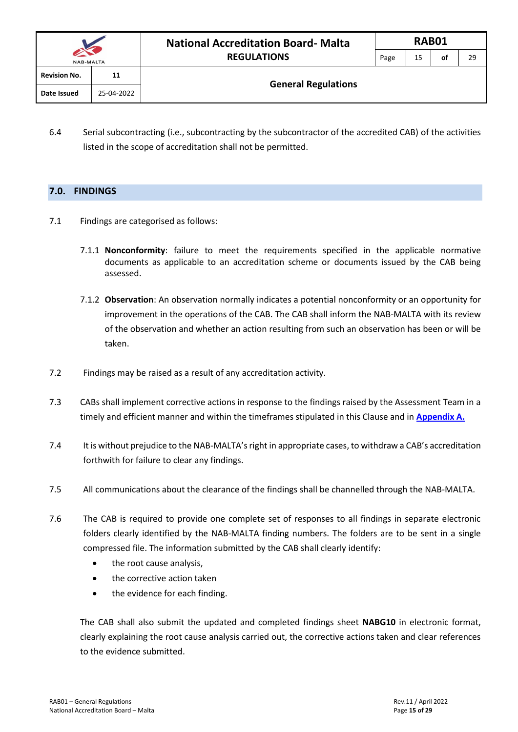| <b>NAB-MALTA</b>    |            | <b>National Accreditation Board-Malta</b> |      | RAB01 |    |    |
|---------------------|------------|-------------------------------------------|------|-------|----|----|
|                     |            | <b>REGULATIONS</b>                        | Page | 15    | οf | 29 |
| <b>Revision No.</b> | 11         |                                           |      |       |    |    |
| Date Issued         | 25-04-2022 | <b>General Regulations</b>                |      |       |    |    |

6.4 Serial subcontracting (i.e., subcontracting by the subcontractor of the accredited CAB) of the activities listed in the scope of accreditation shall not be permitted.

#### <span id="page-15-0"></span>**7.0. FINDINGS**

- 7.1 Findings are categorised as follows:
	- 7.1.1 **Nonconformity**: failure to meet the requirements specified in the applicable normative documents as applicable to an accreditation scheme or documents issued by the CAB being assessed.
	- 7.1.2 **Observation**: An observation normally indicates a potential nonconformity or an opportunity for improvement in the operations of the CAB. The CAB shall inform the NAB-MALTA with its review of the observation and whether an action resulting from such an observation has been or will be taken.
- 7.2 Findings may be raised as a result of any accreditation activity.
- 7.3 CABs shall implement corrective actions in response to the findings raised by the Assessment Team in a timely and efficient manner and within the timeframes stipulated in this Clause and in **[Appendix A.](#page-28-0)**
- 7.4 It is without prejudice to the NAB-MALTA's right in appropriate cases, to withdraw a CAB's accreditation forthwith for failure to clear any findings.
- 7.5 All communications about the clearance of the findings shall be channelled through the NAB-MALTA.
- 7.6 The CAB is required to provide one complete set of responses to all findings in separate electronic folders clearly identified by the NAB-MALTA finding numbers. The folders are to be sent in a single compressed file. The information submitted by the CAB shall clearly identify:
	- the root cause analysis,
	- the corrective action taken
	- the evidence for each finding.

The CAB shall also submit the updated and completed findings sheet **NABG10** in electronic format, clearly explaining the root cause analysis carried out, the corrective actions taken and clear references to the evidence submitted.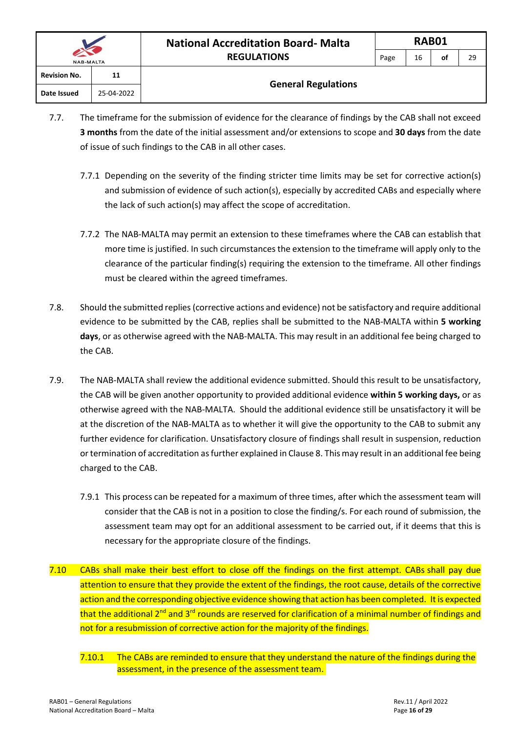| $\sim$ $\sim$<br><b>NAB-MALTA</b> |            | <b>REGULATIONS</b>         | -P |
|-----------------------------------|------------|----------------------------|----|
| <b>Revision No.</b>               | 11         |                            |    |
| Date Issued                       | 25-04-2022 | <b>General Regulations</b> |    |

- 7.7. The timeframe for the submission of evidence for the clearance of findings by the CAB shall not exceed **3 months** from the date of the initial assessment and/or extensions to scope and **30 days** from the date of issue of such findings to the CAB in all other cases.
	- 7.7.1 Depending on the severity of the finding stricter time limits may be set for corrective action(s) and submission of evidence of such action(s), especially by accredited CABs and especially where the lack of such action(s) may affect the scope of accreditation.
	- 7.7.2 The NAB-MALTA may permit an extension to these timeframes where the CAB can establish that more time is justified. In such circumstances the extension to the timeframe will apply only to the clearance of the particular finding(s) requiring the extension to the timeframe. All other findings must be cleared within the agreed timeframes.
- 7.8. Should the submitted replies (corrective actions and evidence) not be satisfactory and require additional evidence to be submitted by the CAB, replies shall be submitted to the NAB-MALTA within **5 working days**, or as otherwise agreed with the NAB-MALTA. This may result in an additional fee being charged to the CAB.
- 7.9. The NAB-MALTA shall review the additional evidence submitted. Should this result to be unsatisfactory, the CAB will be given another opportunity to provided additional evidence **within 5 working days,** or as otherwise agreed with the NAB-MALTA. Should the additional evidence still be unsatisfactory it will be at the discretion of the NAB-MALTA as to whether it will give the opportunity to the CAB to submit any further evidence for clarification. Unsatisfactory closure of findings shall result in suspension, reduction or termination of accreditation as further explained in Clause 8. This may result in an additional fee being charged to the CAB.
	- 7.9.1 This process can be repeated for a maximum of three times, after which the assessment team will consider that the CAB is not in a position to close the finding/s. For each round of submission, the assessment team may opt for an additional assessment to be carried out, if it deems that this is necessary for the appropriate closure of the findings.
- 7.10 CABs shall make their best effort to close off the findings on the first attempt. CABs shall pay due attention to ensure that they provide the extent of the findings, the root cause, details of the corrective action and the corresponding objective evidence showing that action has been completed. It is expected that the additional 2<sup>nd</sup> and 3<sup>rd</sup> rounds are reserved for clarification of a minimal number of findings and not for a resubmission of corrective action for the majority of the findings.
	- 7.10.1 The CABs are reminded to ensure that they understand the nature of the findings during the assessment, in the presence of the assessment team.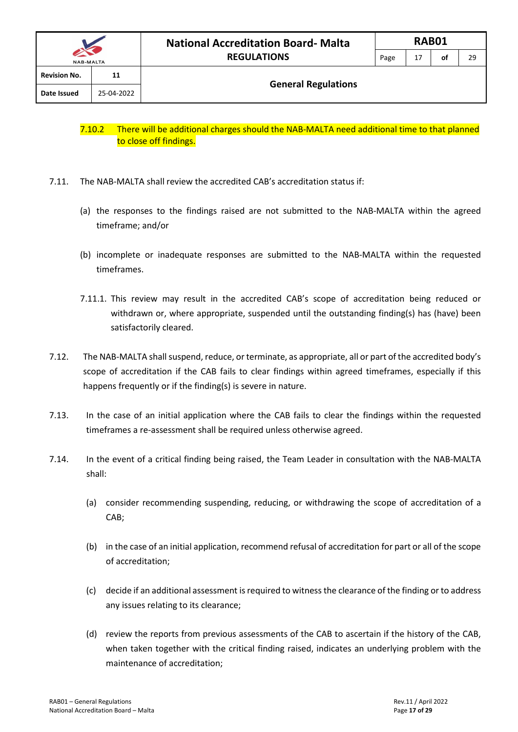- 7.11. The NAB-MALTA shall review the accredited CAB's accreditation status if:
	- (a) the responses to the findings raised are not submitted to the NAB-MALTA within the agreed timeframe; and/or
	- (b) incomplete or inadequate responses are submitted to the NAB-MALTA within the requested timeframes.
	- 7.11.1. This review may result in the accredited CAB's scope of accreditation being reduced or withdrawn or, where appropriate, suspended until the outstanding finding(s) has (have) been satisfactorily cleared.
- 7.12. The NAB-MALTA shall suspend, reduce, or terminate, as appropriate, all or part of the accredited body's scope of accreditation if the CAB fails to clear findings within agreed timeframes, especially if this happens frequently or if the finding(s) is severe in nature.
- 7.13. In the case of an initial application where the CAB fails to clear the findings within the requested timeframes a re-assessment shall be required unless otherwise agreed.
- 7.14. In the event of a critical finding being raised, the Team Leader in consultation with the NAB-MALTA shall:
	- (a) consider recommending suspending, reducing, or withdrawing the scope of accreditation of a CAB;
	- (b) in the case of an initial application, recommend refusal of accreditation for part or all of the scope of accreditation;
	- (c) decide if an additional assessment is required to witness the clearance of the finding or to address any issues relating to its clearance;
	- (d) review the reports from previous assessments of the CAB to ascertain if the history of the CAB, when taken together with the critical finding raised, indicates an underlying problem with the maintenance of accreditation;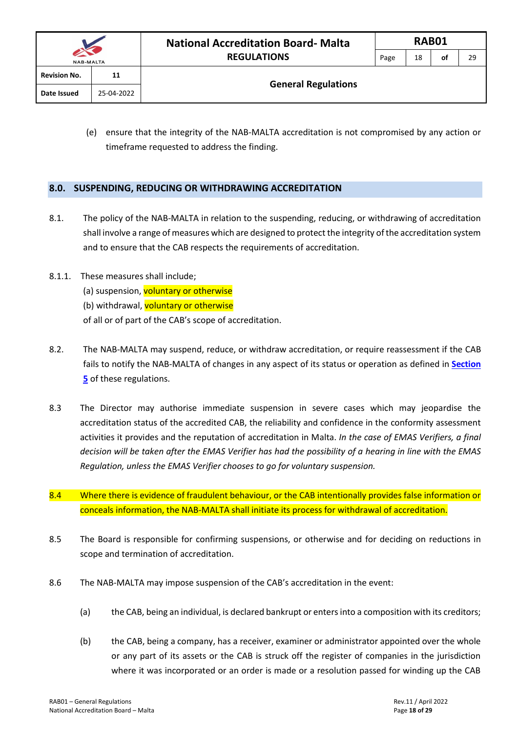(e) ensure that the integrity of the NAB-MALTA accreditation is not compromised by any action or timeframe requested to address the finding.

#### <span id="page-18-0"></span>**8.0. SUSPENDING, REDUCING OR WITHDRAWING ACCREDITATION**

- 8.1. The policy of the NAB-MALTA in relation to the suspending, reducing, or withdrawing of accreditation shall involve a range of measures which are designed to protect the integrity of the accreditation system and to ensure that the CAB respects the requirements of accreditation.
- 8.1.1. These measures shall include; (a) suspension, voluntary or otherwise (b) withdrawal, voluntary or otherwise of all or of part of the CAB's scope of accreditation.
- 8.2. The NAB-MALTA may suspend, reduce, or withdraw accreditation, or require reassessment if the CAB fails to notify the NAB-MALTA of changes in any aspect of its status or operation as defined in **[Section](#page-12-0)  [5](#page-12-0)** of these regulations.
- 8.3 The Director may authorise immediate suspension in severe cases which may jeopardise the accreditation status of the accredited CAB, the reliability and confidence in the conformity assessment activities it provides and the reputation of accreditation in Malta. *In the case of EMAS Verifiers, a final decision will be taken after the EMAS Verifier has had the possibility of a hearing in line with the EMAS Regulation, unless the EMAS Verifier chooses to go for voluntary suspension.*
- 8.4 Where there is evidence of fraudulent behaviour, or the CAB intentionally provides false information or conceals information, the NAB-MALTA shall initiate its process for withdrawal of accreditation.
- 8.5 The Board is responsible for confirming suspensions, or otherwise and for deciding on reductions in scope and termination of accreditation.
- 8.6 The NAB-MALTA may impose suspension of the CAB's accreditation in the event:
	- (a) the CAB, being an individual, is declared bankrupt or enters into a composition with its creditors;
	- (b) the CAB, being a company, has a receiver, examiner or administrator appointed over the whole or any part of its assets or the CAB is struck off the register of companies in the jurisdiction where it was incorporated or an order is made or a resolution passed for winding up the CAB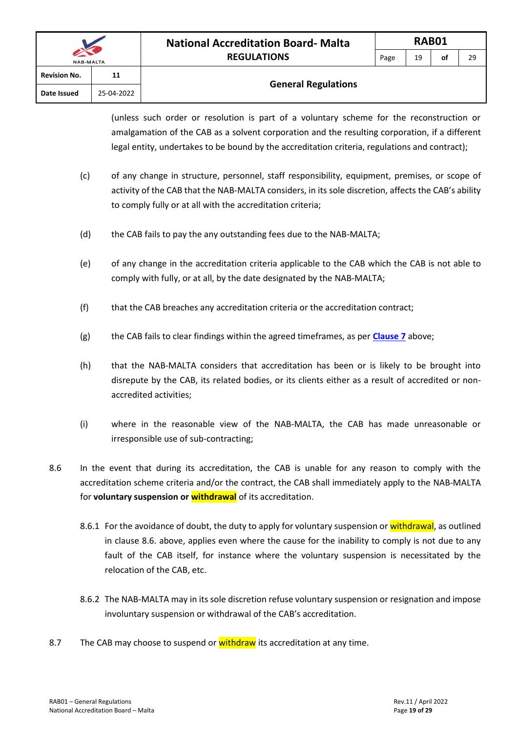| <b>NAB-MALTA</b>    |            | <b>National Accreditation Board-Malta</b> |      | RAB01 |    |    |  |  |  |
|---------------------|------------|-------------------------------------------|------|-------|----|----|--|--|--|
|                     |            | <b>REGULATIONS</b>                        | Page | 19    | of | 29 |  |  |  |
| <b>Revision No.</b> | 11         |                                           |      |       |    |    |  |  |  |
| Date Issued         | 25-04-2022 | <b>General Regulations</b>                |      |       |    |    |  |  |  |

(unless such order or resolution is part of a voluntary scheme for the reconstruction or amalgamation of the CAB as a solvent corporation and the resulting corporation, if a different legal entity, undertakes to be bound by the accreditation criteria, regulations and contract);

- (c) of any change in structure, personnel, staff responsibility, equipment, premises, or scope of activity of the CAB that the NAB-MALTA considers, in its sole discretion, affects the CAB's ability to comply fully or at all with the accreditation criteria;
- (d) the CAB fails to pay the any outstanding fees due to the NAB-MALTA;
- (e) of any change in the accreditation criteria applicable to the CAB which the CAB is not able to comply with fully, or at all, by the date designated by the NAB-MALTA;
- (f) that the CAB breaches any accreditation criteria or the accreditation contract;
- (g) the CAB fails to clear findings within the agreed timeframes, as per **[Clause 7](#page-15-0)** above;
- (h) that the NAB-MALTA considers that accreditation has been or is likely to be brought into disrepute by the CAB, its related bodies, or its clients either as a result of accredited or nonaccredited activities;
- (i) where in the reasonable view of the NAB-MALTA, the CAB has made unreasonable or irresponsible use of sub-contracting;
- 8.6 In the event that during its accreditation, the CAB is unable for any reason to comply with the accreditation scheme criteria and/or the contract, the CAB shall immediately apply to the NAB-MALTA for **voluntary suspension or withdrawal** of its accreditation.
	- 8.6.1 For the avoidance of doubt, the duty to apply for voluntary suspension or withdrawal, as outlined in clause 8.6. above, applies even where the cause for the inability to comply is not due to any fault of the CAB itself, for instance where the voluntary suspension is necessitated by the relocation of the CAB, etc.
	- 8.6.2 The NAB-MALTA may in its sole discretion refuse voluntary suspension or resignation and impose involuntary suspension or withdrawal of the CAB's accreditation.
- 8.7 The CAB may choose to suspend or **withdraw** its accreditation at any time.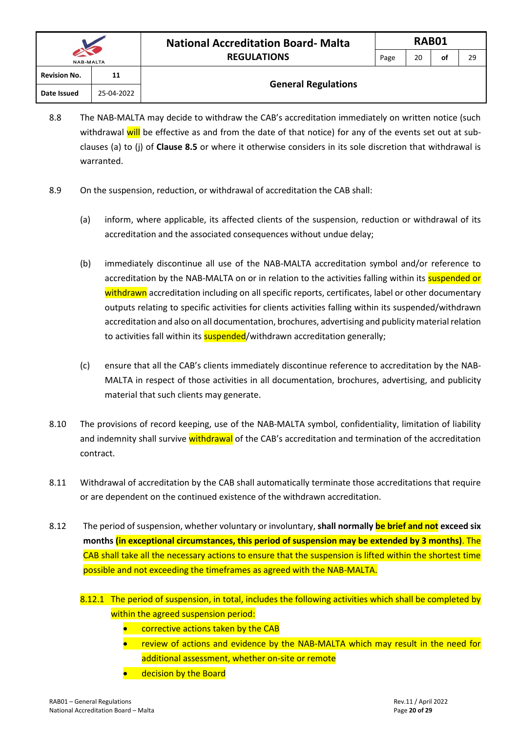| $\sim$<br><b>NAB-MALTA</b> |            | <b>REGULATIONS</b>         | Page | 20 | οf | 29 |
|----------------------------|------------|----------------------------|------|----|----|----|
| <b>Revision No.</b>        | 11         |                            |      |    |    |    |
| Date Issued                | 25-04-2022 | <b>General Regulations</b> |      |    |    |    |

- 8.8 The NAB-MALTA may decide to withdraw the CAB's accreditation immediately on written notice (such withdrawal will be effective as and from the date of that notice) for any of the events set out at subclauses (a) to (j) of **Clause 8.5** or where it otherwise considers in its sole discretion that withdrawal is warranted.
- 8.9 On the suspension, reduction, or withdrawal of accreditation the CAB shall:
	- (a) inform, where applicable, its affected clients of the suspension, reduction or withdrawal of its accreditation and the associated consequences without undue delay;
	- (b) immediately discontinue all use of the NAB-MALTA accreditation symbol and/or reference to accreditation by the NAB-MALTA on or in relation to the activities falling within its suspended or withdrawn accreditation including on all specific reports, certificates, label or other documentary outputs relating to specific activities for clients activities falling within its suspended/withdrawn accreditation and also on all documentation, brochures, advertising and publicity material relation to activities fall within its **suspended**/withdrawn accreditation generally;
	- (c) ensure that all the CAB's clients immediately discontinue reference to accreditation by the NAB-MALTA in respect of those activities in all documentation, brochures, advertising, and publicity material that such clients may generate.
- 8.10 The provisions of record keeping, use of the NAB-MALTA symbol, confidentiality, limitation of liability and indemnity shall survive withdrawal of the CAB's accreditation and termination of the accreditation contract.
- 8.11 Withdrawal of accreditation by the CAB shall automatically terminate those accreditations that require or are dependent on the continued existence of the withdrawn accreditation.
- 8.12 The period of suspension, whether voluntary or involuntary, **shall normally be brief and not exceed six months (in exceptional circumstances, this period of suspension may be extended by 3 months)**. The CAB shall take all the necessary actions to ensure that the suspension is lifted within the shortest time possible and not exceeding the timeframes as agreed with the NAB-MALTA.
	- 8.12.1 The period of suspension, in total, includes the following activities which shall be completed by within the agreed suspension period:
		- corrective actions taken by the CAB
		- review of actions and evidence by the NAB-MALTA which may result in the need for additional assessment, whether on-site or remote
		- decision by the Board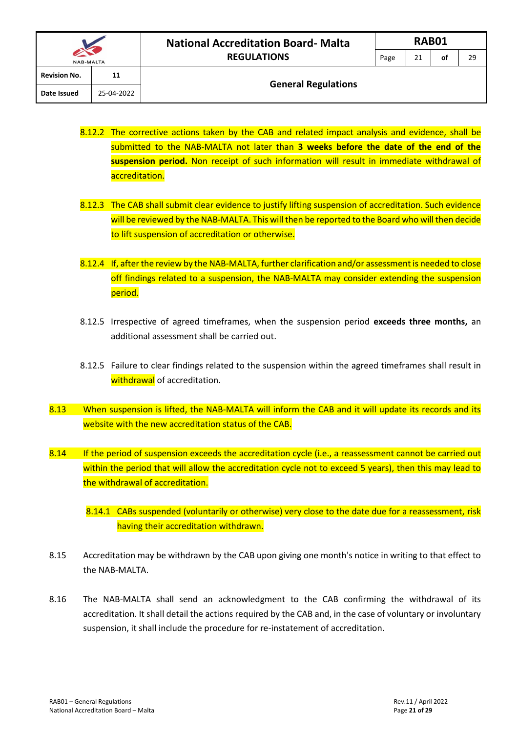#### **General Regulations**

- 8.12.2 The corrective actions taken by the CAB and related impact analysis and evidence, shall be submitted to the NAB-MALTA not later than **3 weeks before the date of the end of the suspension period.** Non receipt of such information will result in immediate withdrawal of accreditation.
- 8.12.3 The CAB shall submit clear evidence to justify lifting suspension of accreditation. Such evidence will be reviewed by the NAB-MALTA. This will then be reported to the Board who will then decide to lift suspension of accreditation or otherwise.
- 8.12.4 If, after the review by the NAB-MALTA, further clarification and/or assessment is needed to close off findings related to a suspension, the NAB-MALTA may consider extending the suspension period.
- 8.12.5 Irrespective of agreed timeframes, when the suspension period **exceeds three months,** an additional assessment shall be carried out.
- 8.12.5 Failure to clear findings related to the suspension within the agreed timeframes shall result in withdrawal of accreditation.
- 8.13 When suspension is lifted, the NAB-MALTA will inform the CAB and it will update its records and its website with the new accreditation status of the CAB.
- 8.14 If the period of suspension exceeds the accreditation cycle (i.e., a reassessment cannot be carried out within the period that will allow the accreditation cycle not to exceed 5 years), then this may lead to the withdrawal of accreditation.
	- 8.14.1 CABs suspended (voluntarily or otherwise) very close to the date due for a reassessment, risk having their accreditation withdrawn.
- 8.15 Accreditation may be withdrawn by the CAB upon giving one month's notice in writing to that effect to the NAB-MALTA.
- 8.16 The NAB-MALTA shall send an acknowledgment to the CAB confirming the withdrawal of its accreditation. It shall detail the actions required by the CAB and, in the case of voluntary or involuntary suspension, it shall include the procedure for re-instatement of accreditation.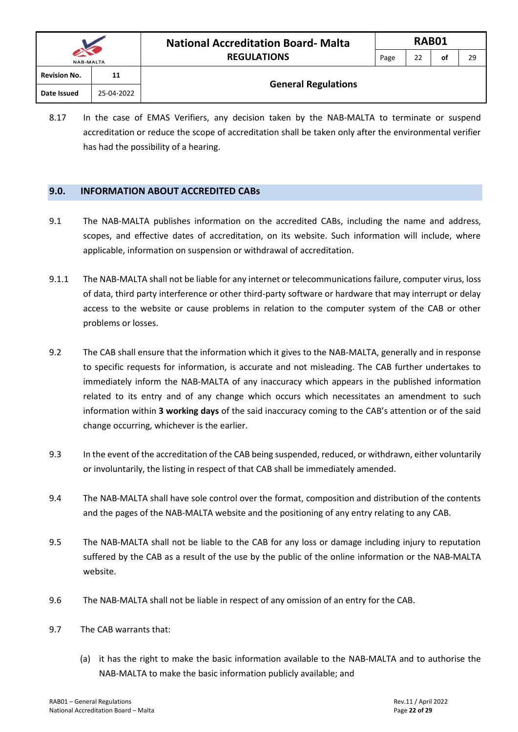|                     |            | <b>National Accreditation Board-Malta</b> |  | <b>RAB01</b> |    |    |  |  |  |
|---------------------|------------|-------------------------------------------|--|--------------|----|----|--|--|--|
| <b>NAB-MALTA</b>    |            | <b>REGULATIONS</b>                        |  | 22           | οf | 29 |  |  |  |
| <b>Revision No.</b> | 11         | <b>General Regulations</b>                |  |              |    |    |  |  |  |
| Date Issued         | 25-04-2022 |                                           |  |              |    |    |  |  |  |

8.17 In the case of EMAS Verifiers, any decision taken by the NAB-MALTA to terminate or suspend accreditation or reduce the scope of accreditation shall be taken only after the environmental verifier has had the possibility of a hearing.

#### <span id="page-22-0"></span>**9.0. INFORMATION ABOUT ACCREDITED CABs**

- 9.1 The NAB-MALTA publishes information on the accredited CABs, including the name and address, scopes, and effective dates of accreditation, on its website. Such information will include, where applicable, information on suspension or withdrawal of accreditation.
- 9.1.1 The NAB-MALTA shall not be liable for any internet or telecommunications failure, computer virus, loss of data, third party interference or other third-party software or hardware that may interrupt or delay access to the website or cause problems in relation to the computer system of the CAB or other problems or losses.
- 9.2 The CAB shall ensure that the information which it gives to the NAB-MALTA, generally and in response to specific requests for information, is accurate and not misleading. The CAB further undertakes to immediately inform the NAB-MALTA of any inaccuracy which appears in the published information related to its entry and of any change which occurs which necessitates an amendment to such information within **3 working days** of the said inaccuracy coming to the CAB's attention or of the said change occurring, whichever is the earlier.
- 9.3 In the event of the accreditation of the CAB being suspended, reduced, or withdrawn, either voluntarily or involuntarily, the listing in respect of that CAB shall be immediately amended.
- 9.4 The NAB-MALTA shall have sole control over the format, composition and distribution of the contents and the pages of the NAB-MALTA website and the positioning of any entry relating to any CAB.
- 9.5 The NAB-MALTA shall not be liable to the CAB for any loss or damage including injury to reputation suffered by the CAB as a result of the use by the public of the online information or the NAB-MALTA website.
- 9.6 The NAB-MALTA shall not be liable in respect of any omission of an entry for the CAB.
- 9.7 The CAB warrants that:
	- (a) it has the right to make the basic information available to the NAB-MALTA and to authorise the NAB-MALTA to make the basic information publicly available; and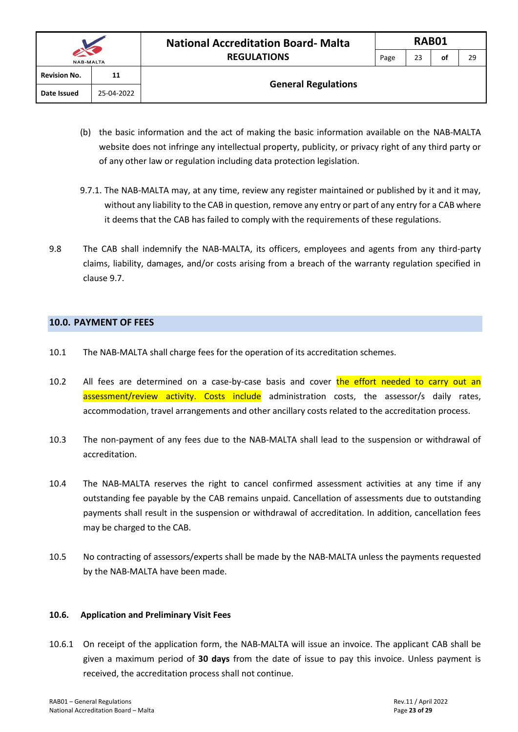| <b>NAB-MALTA</b>          |            |  |  |  |
|---------------------------|------------|--|--|--|
| <b>Revision No.</b><br>11 |            |  |  |  |
| Date Issued               | 25-04-2022 |  |  |  |

**General Regulations**

- (b) the basic information and the act of making the basic information available on the NAB-MALTA website does not infringe any intellectual property, publicity, or privacy right of any third party or of any other law or regulation including data protection legislation.
- 9.7.1. The NAB-MALTA may, at any time, review any register maintained or published by it and it may, without any liability to the CAB in question, remove any entry or part of any entry for a CAB where it deems that the CAB has failed to comply with the requirements of these regulations.
- 9.8 The CAB shall indemnify the NAB-MALTA, its officers, employees and agents from any third-party claims, liability, damages, and/or costs arising from a breach of the warranty regulation specified in clause 9.7.

#### <span id="page-23-0"></span>**10.0. PAYMENT OF FEES**

- 10.1 The NAB-MALTA shall charge fees for the operation of its accreditation schemes.
- 10.2 All fees are determined on a case-by-case basis and cover the effort needed to carry out an assessment/review activity. Costs include administration costs, the assessor/s daily rates, accommodation, travel arrangements and other ancillary costs related to the accreditation process.
- 10.3 The non-payment of any fees due to the NAB-MALTA shall lead to the suspension or withdrawal of accreditation.
- 10.4 The NAB-MALTA reserves the right to cancel confirmed assessment activities at any time if any outstanding fee payable by the CAB remains unpaid. Cancellation of assessments due to outstanding payments shall result in the suspension or withdrawal of accreditation. In addition, cancellation fees may be charged to the CAB.
- 10.5 No contracting of assessors/experts shall be made by the NAB-MALTA unless the payments requested by the NAB-MALTA have been made.

#### **10.6. Application and Preliminary Visit Fees**

10.6.1 On receipt of the application form, the NAB-MALTA will issue an invoice. The applicant CAB shall be given a maximum period of **30 days** from the date of issue to pay this invoice. Unless payment is received, the accreditation process shall not continue.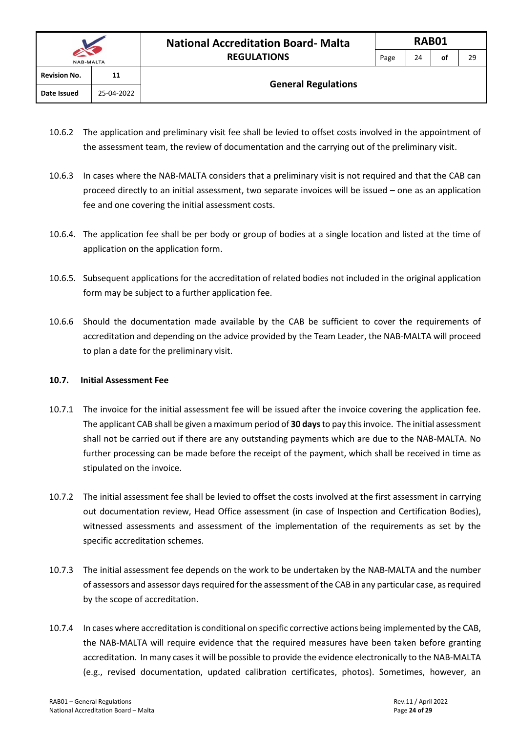- 10.6.2 The application and preliminary visit fee shall be levied to offset costs involved in the appointment of the assessment team, the review of documentation and the carrying out of the preliminary visit.
- 10.6.3 In cases where the NAB-MALTA considers that a preliminary visit is not required and that the CAB can proceed directly to an initial assessment, two separate invoices will be issued – one as an application fee and one covering the initial assessment costs.
- 10.6.4. The application fee shall be per body or group of bodies at a single location and listed at the time of application on the application form.
- 10.6.5. Subsequent applications for the accreditation of related bodies not included in the original application form may be subject to a further application fee.
- 10.6.6 Should the documentation made available by the CAB be sufficient to cover the requirements of accreditation and depending on the advice provided by the Team Leader, the NAB-MALTA will proceed to plan a date for the preliminary visit.

#### **10.7. Initial Assessment Fee**

- 10.7.1 The invoice for the initial assessment fee will be issued after the invoice covering the application fee. The applicant CAB shall be given a maximum period of **30 days**to pay this invoice. The initial assessment shall not be carried out if there are any outstanding payments which are due to the NAB-MALTA. No further processing can be made before the receipt of the payment, which shall be received in time as stipulated on the invoice.
- 10.7.2 The initial assessment fee shall be levied to offset the costs involved at the first assessment in carrying out documentation review, Head Office assessment (in case of Inspection and Certification Bodies), witnessed assessments and assessment of the implementation of the requirements as set by the specific accreditation schemes.
- 10.7.3 The initial assessment fee depends on the work to be undertaken by the NAB-MALTA and the number of assessors and assessor days required for the assessment of the CAB in any particular case, as required by the scope of accreditation.
- 10.7.4 In cases where accreditation is conditional on specific corrective actions being implemented by the CAB, the NAB-MALTA will require evidence that the required measures have been taken before granting accreditation. In many cases it will be possible to provide the evidence electronically to the NAB-MALTA (e.g., revised documentation, updated calibration certificates, photos). Sometimes, however, an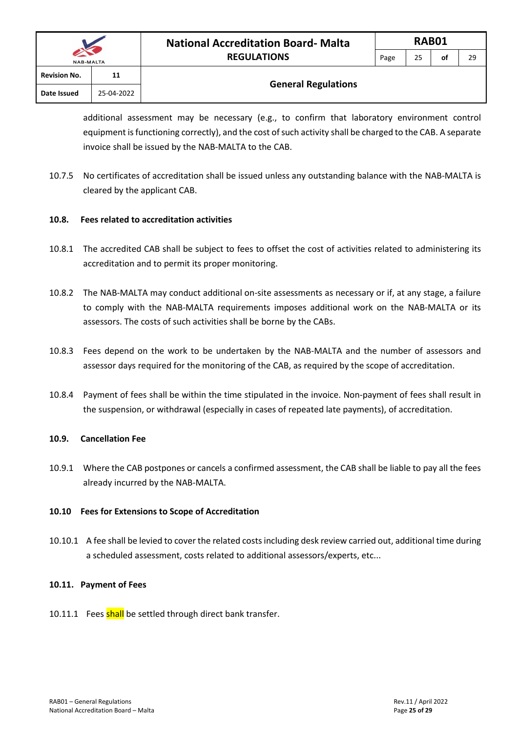|                     |            | <b>National Accreditation Board- Malta</b> |      | <b>RAB01</b> |    |    |  |  |  |
|---------------------|------------|--------------------------------------------|------|--------------|----|----|--|--|--|
| <b>NAB-MALTA</b>    |            | <b>REGULATIONS</b>                         | Page | 25           | οf | 29 |  |  |  |
| <b>Revision No.</b> | 11         |                                            |      |              |    |    |  |  |  |
| Date Issued         | 25-04-2022 | <b>General Regulations</b>                 |      |              |    |    |  |  |  |

additional assessment may be necessary (e.g., to confirm that laboratory environment control equipment is functioning correctly), and the cost of such activity shall be charged to the CAB. A separate invoice shall be issued by the NAB-MALTA to the CAB.

10.7.5 No certificates of accreditation shall be issued unless any outstanding balance with the NAB-MALTA is cleared by the applicant CAB.

#### **10.8. Fees related to accreditation activities**

- 10.8.1 The accredited CAB shall be subject to fees to offset the cost of activities related to administering its accreditation and to permit its proper monitoring.
- 10.8.2 The NAB-MALTA may conduct additional on-site assessments as necessary or if, at any stage, a failure to comply with the NAB-MALTA requirements imposes additional work on the NAB-MALTA or its assessors. The costs of such activities shall be borne by the CABs.
- 10.8.3 Fees depend on the work to be undertaken by the NAB-MALTA and the number of assessors and assessor days required for the monitoring of the CAB, as required by the scope of accreditation.
- 10.8.4 Payment of fees shall be within the time stipulated in the invoice. Non-payment of fees shall result in the suspension, or withdrawal (especially in cases of repeated late payments), of accreditation.

#### **10.9. Cancellation Fee**

10.9.1 Where the CAB postpones or cancels a confirmed assessment, the CAB shall be liable to pay all the fees already incurred by the NAB-MALTA.

#### **10.10 Fees for Extensions to Scope of Accreditation**

10.10.1 A fee shall be levied to cover the related costs including desk review carried out, additional time during a scheduled assessment, costs related to additional assessors/experts, etc...

#### **10.11. Payment of Fees**

10.11.1 Fees shall be settled through direct bank transfer.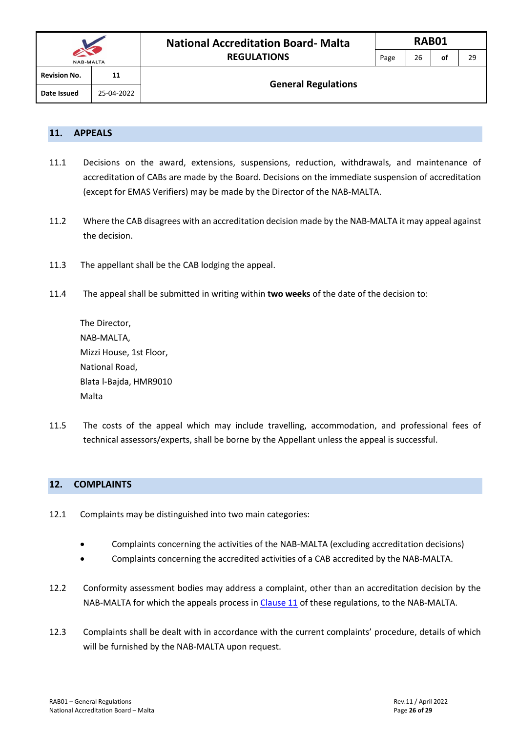|                     |            | <b>National Accreditation Board-Malta</b> |      | <b>RAB01</b> |    |    |  |  |  |
|---------------------|------------|-------------------------------------------|------|--------------|----|----|--|--|--|
| <b>NAB-MALTA</b>    |            | <b>REGULATIONS</b>                        | Page | 26           | οf | 29 |  |  |  |
| <b>Revision No.</b> | 11         |                                           |      |              |    |    |  |  |  |
| Date Issued         | 25-04-2022 | <b>General Regulations</b>                |      |              |    |    |  |  |  |

#### <span id="page-26-0"></span>**11. APPEALS**

- 11.1 Decisions on the award, extensions, suspensions, reduction, withdrawals, and maintenance of accreditation of CABs are made by the Board. Decisions on the immediate suspension of accreditation (except for EMAS Verifiers) may be made by the Director of the NAB-MALTA.
- 11.2 Where the CAB disagrees with an accreditation decision made by the NAB-MALTA it may appeal against the decision.
- 11.3 The appellant shall be the CAB lodging the appeal.
- 11.4 The appeal shall be submitted in writing within **two weeks** of the date of the decision to:

| The Director,           |
|-------------------------|
| NAB-MALTA,              |
| Mizzi House, 1st Floor, |
| National Road,          |
| Blata l-Bajda, HMR9010  |
| Malta                   |

11.5 The costs of the appeal which may include travelling, accommodation, and professional fees of technical assessors/experts, shall be borne by the Appellant unless the appeal is successful.

#### <span id="page-26-1"></span>**12. COMPLAINTS**

- 12.1 Complaints may be distinguished into two main categories:
	- Complaints concerning the activities of the NAB-MALTA (excluding accreditation decisions)
	- Complaints concerning the accredited activities of a CAB accredited by the NAB-MALTA.
- 12.2 Conformity assessment bodies may address a complaint, other than an accreditation decision by the NAB-MALTA for which the appeals process i[n Clause 11](#page-26-0) of these regulations, to the NAB-MALTA.
- 12.3 Complaints shall be dealt with in accordance with the current complaints' procedure, details of which will be furnished by the NAB-MALTA upon request.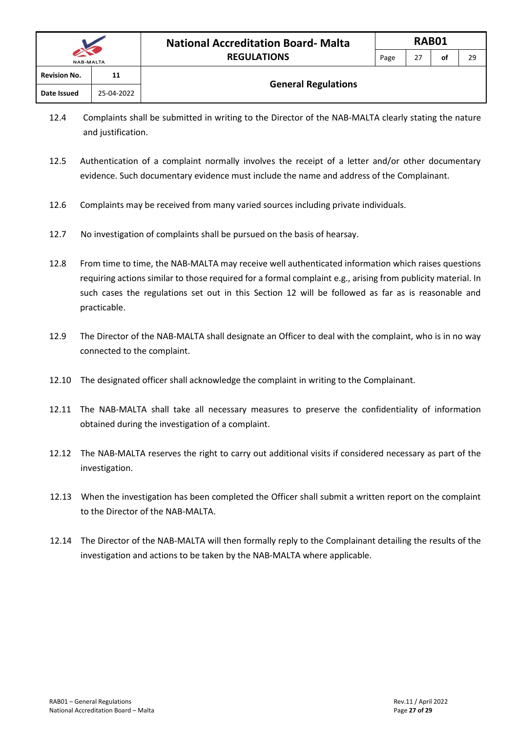| $\sim$ $\sim$<br><b>NAB-MALTA</b> |            | <b>REGULATIONS</b><br>っっ<br>Page |  | οf | 2s |
|-----------------------------------|------------|----------------------------------|--|----|----|
| <b>Revision No.</b>               | 11         |                                  |  |    |    |
| Date Issued                       | 25-04-2022 | <b>General Regulations</b>       |  |    |    |

- 12.4 Complaints shall be submitted in writing to the Director of the NAB-MALTA clearly stating the nature and justification.
- 12.5 Authentication of a complaint normally involves the receipt of a letter and/or other documentary evidence. Such documentary evidence must include the name and address of the Complainant.
- 12.6 Complaints may be received from many varied sources including private individuals.
- 12.7 No investigation of complaints shall be pursued on the basis of hearsay.
- 12.8 From time to time, the NAB-MALTA may receive well authenticated information which raises questions requiring actions similar to those required for a formal complaint e.g., arising from publicity material. In such cases the regulations set out in this Section 12 will be followed as far as is reasonable and practicable.
- 12.9 The Director of the NAB-MALTA shall designate an Officer to deal with the complaint, who is in no way connected to the complaint.
- 12.10 The designated officer shall acknowledge the complaint in writing to the Complainant.
- 12.11 The NAB-MALTA shall take all necessary measures to preserve the confidentiality of information obtained during the investigation of a complaint.
- 12.12 The NAB-MALTA reserves the right to carry out additional visits if considered necessary as part of the investigation.
- 12.13 When the investigation has been completed the Officer shall submit a written report on the complaint to the Director of the NAB-MALTA.
- 12.14 The Director of the NAB-MALTA will then formally reply to the Complainant detailing the results of the investigation and actions to be taken by the NAB-MALTA where applicable.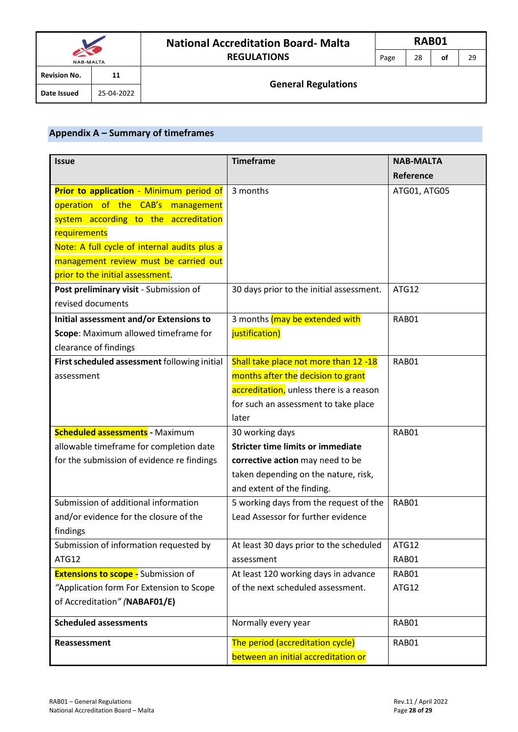|                     |            | <b>National Accreditation Board-Malta</b> |      | RAB01 |    |    |  |  |
|---------------------|------------|-------------------------------------------|------|-------|----|----|--|--|
| <b>NAB-MALTA</b>    |            | <b>REGULATIONS</b>                        | Page | 28    | οf | 29 |  |  |
| <b>Revision No.</b> | 11         |                                           |      |       |    |    |  |  |
| Date Issued         | 25-04-2022 | <b>General Regulations</b>                |      |       |    |    |  |  |

# <span id="page-28-0"></span>**Appendix A – Summary of timeframes**

| <b>Issue</b>                                 | <b>Timeframe</b>                         | <b>NAB-MALTA</b> |
|----------------------------------------------|------------------------------------------|------------------|
|                                              |                                          | Reference        |
| Prior to application - Minimum period of     | 3 months                                 | ATG01, ATG05     |
| operation of the CAB's<br>management         |                                          |                  |
| system according to the accreditation        |                                          |                  |
| requirements                                 |                                          |                  |
| Note: A full cycle of internal audits plus a |                                          |                  |
| management review must be carried out        |                                          |                  |
| prior to the initial assessment.             |                                          |                  |
| Post preliminary visit - Submission of       | 30 days prior to the initial assessment. | ATG12            |
| revised documents                            |                                          |                  |
| Initial assessment and/or Extensions to      | 3 months (may be extended with           | RAB01            |
| Scope: Maximum allowed timeframe for         | justification)                           |                  |
| clearance of findings                        |                                          |                  |
| First scheduled assessment following initial | Shall take place not more than 12 -18    | RAB01            |
| assessment                                   | months after the decision to grant       |                  |
|                                              | accreditation, unless there is a reason  |                  |
|                                              | for such an assessment to take place     |                  |
|                                              | later                                    |                  |
| <b>Scheduled assessments - Maximum</b>       | 30 working days                          | RAB01            |
| allowable timeframe for completion date      | <b>Stricter time limits or immediate</b> |                  |
| for the submission of evidence re findings   | corrective action may need to be         |                  |
|                                              | taken depending on the nature, risk,     |                  |
|                                              | and extent of the finding.               |                  |
| Submission of additional information         | 5 working days from the request of the   | RAB01            |
| and/or evidence for the closure of the       | Lead Assessor for further evidence       |                  |
| findings                                     |                                          |                  |
| Submission of information requested by       | At least 30 days prior to the scheduled  | ATG12            |
| ATG12                                        | assessment                               | RAB01            |
| <b>Extensions to scope -</b> Submission of   | At least 120 working days in advance     | RAB01            |
| "Application form For Extension to Scope     | of the next scheduled assessment.        | ATG12            |
| of Accreditation" (NABAF01/E)                |                                          |                  |
| <b>Scheduled assessments</b>                 | Normally every year                      | RAB01            |
| Reassessment                                 | The period (accreditation cycle)         | RAB01            |
|                                              | between an initial accreditation or      |                  |